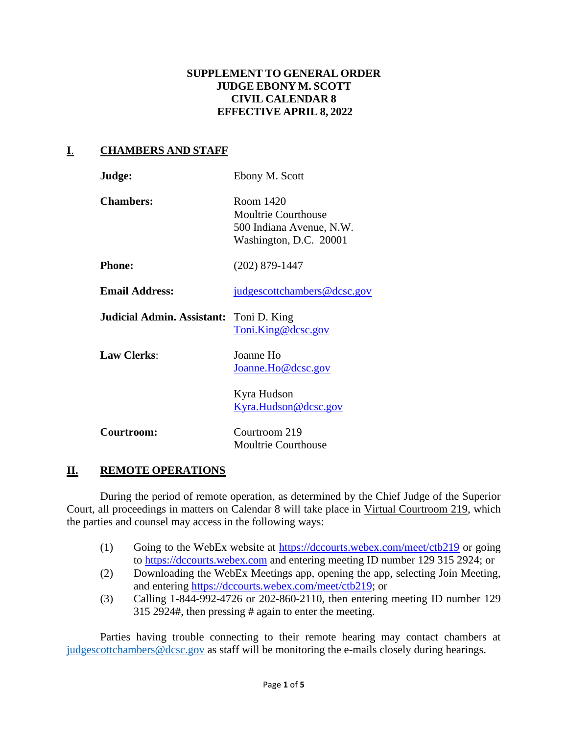#### **SUPPLEMENT TO GENERAL ORDER JUDGE EBONY M. SCOTT CIVIL CALENDAR 8 EFFECTIVE APRIL 8, 2022**

## **I**. **CHAMBERS AND STAFF**

| Judge:                                         | Ebony M. Scott                                                                                |
|------------------------------------------------|-----------------------------------------------------------------------------------------------|
| <b>Chambers:</b>                               | Room 1420<br><b>Moultrie Courthouse</b><br>500 Indiana Avenue, N.W.<br>Washington, D.C. 20001 |
| <b>Phone:</b>                                  | $(202)$ 879-1447                                                                              |
| <b>Email Address:</b>                          | judgescottchambers@dcsc.gov                                                                   |
| <b>Judicial Admin. Assistant:</b> Toni D. King | Toni.King@dcsc.gov                                                                            |
| <b>Law Clerks:</b>                             | Joanne Ho<br>Joanne.Ho@dcsc.gov                                                               |
|                                                | Kyra Hudson<br><u>Kyra.Hudson@dcsc.gov</u>                                                    |
| Courtroom:                                     | Courtroom 219<br><b>Moultrie Courthouse</b>                                                   |

## **II. REMOTE OPERATIONS**

During the period of remote operation, as determined by the Chief Judge of the Superior Court, all proceedings in matters on Calendar 8 will take place in Virtual Courtroom 219, which the parties and counsel may access in the following ways:

- (1) Going to the WebEx website at<https://dccourts.webex.com/meet/ctb219> or going to [https://dccourts.webex.com](https://dccourts.webex.com/) and entering meeting ID number 129 315 2924; or
- (2) Downloading the WebEx Meetings app, opening the app, selecting Join Meeting, and entering [https://dccourts.webex.com/meet/ctb219;](https://dccourts.webex.com/meet/ctb219) or
- (3) Calling 1-844-992-4726 or 202-860-2110, then entering meeting ID number 129 315 2924#, then pressing # again to enter the meeting.

Parties having trouble connecting to their remote hearing may contact chambers at judgescottchambers@dcsc.gov as staff will be monitoring the e-mails closely during hearings.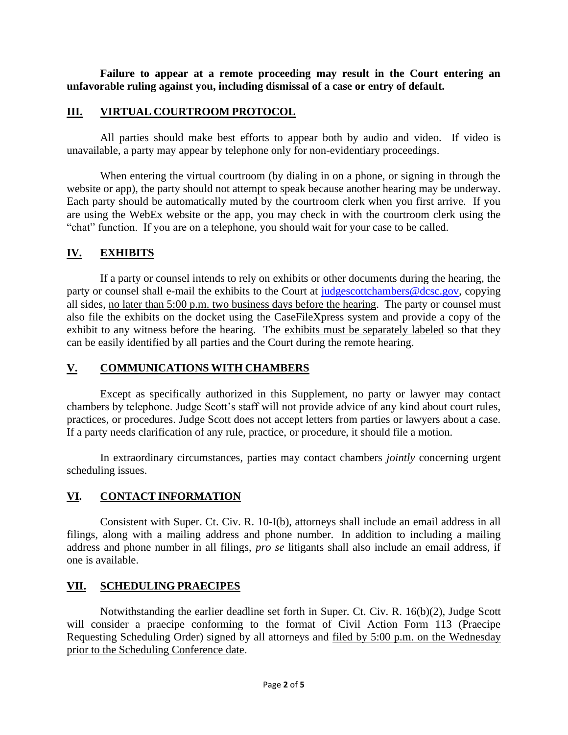**Failure to appear at a remote proceeding may result in the Court entering an unfavorable ruling against you, including dismissal of a case or entry of default.**

#### **III. VIRTUAL COURTROOM PROTOCOL**

All parties should make best efforts to appear both by audio and video. If video is unavailable, a party may appear by telephone only for non-evidentiary proceedings.

When entering the virtual courtroom (by dialing in on a phone, or signing in through the website or app), the party should not attempt to speak because another hearing may be underway. Each party should be automatically muted by the courtroom clerk when you first arrive. If you are using the WebEx website or the app, you may check in with the courtroom clerk using the "chat" function. If you are on a telephone, you should wait for your case to be called.

# **IV. EXHIBITS**

If a party or counsel intends to rely on exhibits or other documents during the hearing, the party or counsel shall e-mail the exhibits to the Court at [judgescottchambers@dcsc.gov,](mailto:judgescottchambers@dcsc.gov) copying all sides, no later than 5:00 p.m. two business days before the hearing. The party or counsel must also file the exhibits on the docket using the CaseFileXpress system and provide a copy of the exhibit to any witness before the hearing. The exhibits must be separately labeled so that they can be easily identified by all parties and the Court during the remote hearing.

## **V. COMMUNICATIONS WITH CHAMBERS**

Except as specifically authorized in this Supplement, no party or lawyer may contact chambers by telephone. Judge Scott's staff will not provide advice of any kind about court rules, practices, or procedures. Judge Scott does not accept letters from parties or lawyers about a case. If a party needs clarification of any rule, practice, or procedure, it should file a motion.

In extraordinary circumstances, parties may contact chambers *jointly* concerning urgent scheduling issues.

## **VI. CONTACT INFORMATION**

Consistent with Super. Ct. Civ. R. 10-I(b), attorneys shall include an email address in all filings, along with a mailing address and phone number. In addition to including a mailing address and phone number in all filings, *pro se* litigants shall also include an email address, if one is available.

## **VII. SCHEDULING PRAECIPES**

Notwithstanding the earlier deadline set forth in Super. Ct. Civ. R. 16(b)(2), Judge Scott will consider a praecipe conforming to the format of Civil Action Form 113 (Praecipe Requesting Scheduling Order) signed by all attorneys and filed by 5:00 p.m. on the Wednesday prior to the Scheduling Conference date.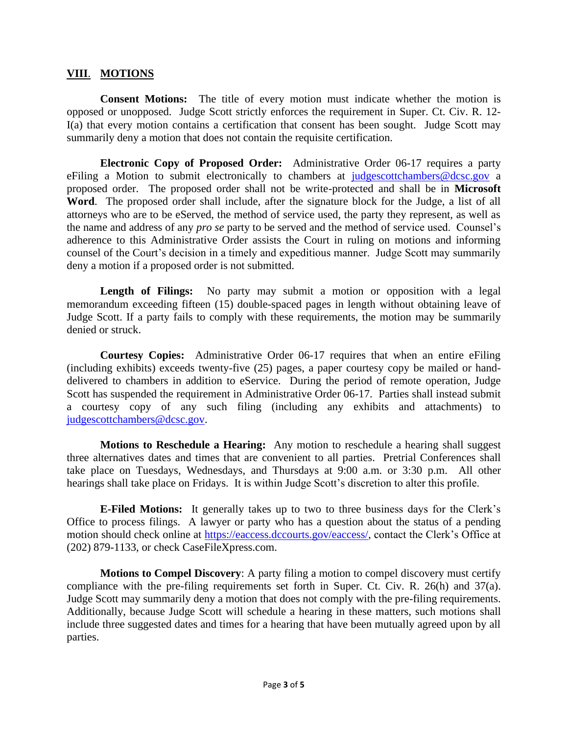#### **VIII**. **MOTIONS**

**Consent Motions:** The title of every motion must indicate whether the motion is opposed or unopposed. Judge Scott strictly enforces the requirement in Super. Ct. Civ. R. 12- I(a) that every motion contains a certification that consent has been sought. Judge Scott may summarily deny a motion that does not contain the requisite certification.

**Electronic Copy of Proposed Order:** Administrative Order 06-17 requires a party eFiling a Motion to submit electronically to chambers at [judgescottchambers@dcsc.gov](mailto:judgescottchambers@dcsc.gov) a proposed order. The proposed order shall not be write-protected and shall be in **Microsoft Word**. The proposed order shall include, after the signature block for the Judge, a list of all attorneys who are to be eServed, the method of service used, the party they represent, as well as the name and address of any *pro se* party to be served and the method of service used. Counsel's adherence to this Administrative Order assists the Court in ruling on motions and informing counsel of the Court's decision in a timely and expeditious manner. Judge Scott may summarily deny a motion if a proposed order is not submitted.

**Length of Filings:** No party may submit a motion or opposition with a legal memorandum exceeding fifteen (15) double-spaced pages in length without obtaining leave of Judge Scott. If a party fails to comply with these requirements, the motion may be summarily denied or struck.

**Courtesy Copies:** Administrative Order 06-17 requires that when an entire eFiling (including exhibits) exceeds twenty-five (25) pages, a paper courtesy copy be mailed or handdelivered to chambers in addition to eService. During the period of remote operation, Judge Scott has suspended the requirement in Administrative Order 06-17. Parties shall instead submit a courtesy copy of any such filing (including any exhibits and attachments) to [judgescottchambers@dcsc.gov.](mailto:judgescottchambers@dcsc.gov)

**Motions to Reschedule a Hearing:** Any motion to reschedule a hearing shall suggest three alternatives dates and times that are convenient to all parties. Pretrial Conferences shall take place on Tuesdays, Wednesdays, and Thursdays at 9:00 a.m. or 3:30 p.m. All other hearings shall take place on Fridays. It is within Judge Scott's discretion to alter this profile.

**E-Filed Motions:** It generally takes up to two to three business days for the Clerk's Office to process filings. A lawyer or party who has a question about the status of a pending motion should check online at [https://eaccess.dccourts.gov/eaccess/,](https://eaccess.dccourts.gov/eaccess/) contact the Clerk's Office at (202) 879-1133, or check CaseFileXpress.com.

**Motions to Compel Discovery**: A party filing a motion to compel discovery must certify compliance with the pre-filing requirements set forth in Super. Ct. Civ. R. 26(h) and 37(a). Judge Scott may summarily deny a motion that does not comply with the pre-filing requirements. Additionally, because Judge Scott will schedule a hearing in these matters, such motions shall include three suggested dates and times for a hearing that have been mutually agreed upon by all parties.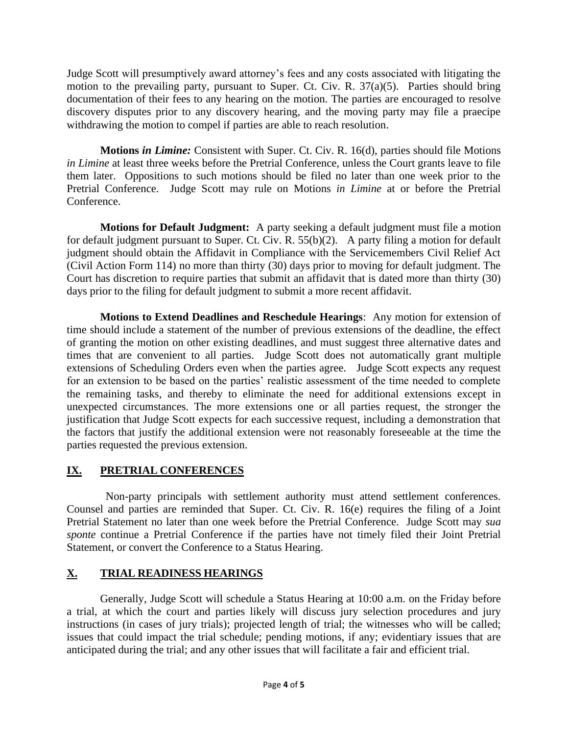Judge Scott will presumptively award attorney's fees and any costs associated with litigating the motion to the prevailing party, pursuant to Super. Ct. Civ. R. 37(a)(5). Parties should bring documentation of their fees to any hearing on the motion. The parties are encouraged to resolve discovery disputes prior to any discovery hearing, and the moving party may file a praecipe withdrawing the motion to compel if parties are able to reach resolution.

**Motions** *in Limine:* Consistent with Super. Ct. Civ. R. 16(d), parties should file Motions *in Limine* at least three weeks before the Pretrial Conference, unless the Court grants leave to file them later. Oppositions to such motions should be filed no later than one week prior to the Pretrial Conference.Judge Scott may rule on Motions *in Limine* at or before the Pretrial **Conference** 

**Motions for Default Judgment:** A party seeking a default judgment must file a motion for default judgment pursuant to Super. Ct. Civ. R. 55(b)(2). A party filing a motion for default judgment should obtain the Affidavit in Compliance with the Servicemembers Civil Relief Act (Civil Action Form 114) no more than thirty (30) days prior to moving for default judgment. The Court has discretion to require parties that submit an affidavit that is dated more than thirty (30) days prior to the filing for default judgment to submit a more recent affidavit.

**Motions to Extend Deadlines and Reschedule Hearings**: Any motion for extension of time should include a statement of the number of previous extensions of the deadline, the effect of granting the motion on other existing deadlines, and must suggest three alternative dates and times that are convenient to all parties. Judge Scott does not automatically grant multiple extensions of Scheduling Orders even when the parties agree. Judge Scott expects any request for an extension to be based on the parties' realistic assessment of the time needed to complete the remaining tasks, and thereby to eliminate the need for additional extensions except in unexpected circumstances. The more extensions one or all parties request, the stronger the justification that Judge Scott expects for each successive request, including a demonstration that the factors that justify the additional extension were not reasonably foreseeable at the time the parties requested the previous extension.

## **IX. PRETRIAL CONFERENCES**

Non-party principals with settlement authority must attend settlement conferences. Counsel and parties are reminded that Super. Ct. Civ. R. 16(e) requires the filing of a Joint Pretrial Statement no later than one week before the Pretrial Conference. Judge Scott may *sua sponte* continue a Pretrial Conference if the parties have not timely filed their Joint Pretrial Statement, or convert the Conference to a Status Hearing.

## **X. TRIAL READINESS HEARINGS**

Generally, Judge Scott will schedule a Status Hearing at 10:00 a.m. on the Friday before a trial, at which the court and parties likely will discuss jury selection procedures and jury instructions (in cases of jury trials); projected length of trial; the witnesses who will be called; issues that could impact the trial schedule; pending motions, if any; evidentiary issues that are anticipated during the trial; and any other issues that will facilitate a fair and efficient trial.